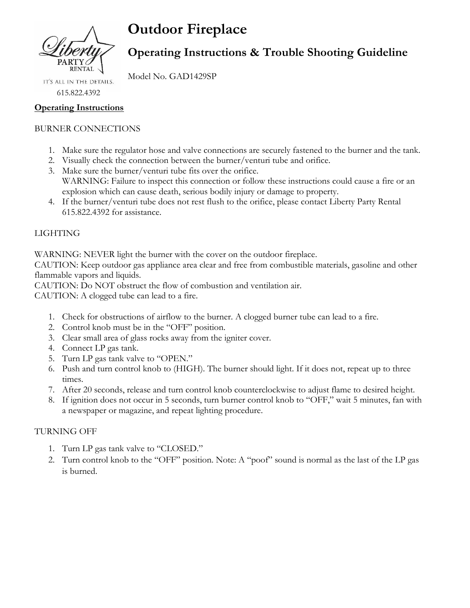

# **Outdoor Fireplace**

## **Operating Instructions & Trouble Shooting Guideline**

Model No. GAD1429SP IT'S ALL IN THE DETAILS.

615.822.4392

#### **Operating Instructions**

### BURNER CONNECTIONS

- 1. Make sure the regulator hose and valve connections are securely fastened to the burner and the tank.
- 2. Visually check the connection between the burner/venturi tube and orifice.
- 3. Make sure the burner/venturi tube fits over the orifice. WARNING: Failure to inspect this connection or follow these instructions could cause a fire or an explosion which can cause death, serious bodily injury or damage to property.
- 4. If the burner/venturi tube does not rest flush to the orifice, please contact Liberty Party Rental 615.822.4392 for assistance.

### LIGHTING

WARNING: NEVER light the burner with the cover on the outdoor fireplace.

CAUTION: Keep outdoor gas appliance area clear and free from combustible materials, gasoline and other flammable vapors and liquids.

CAUTION: Do NOT obstruct the flow of combustion and ventilation air.

CAUTION: A clogged tube can lead to a fire.

- 1. Check for obstructions of airflow to the burner. A clogged burner tube can lead to a fire.
- 2. Control knob must be in the "OFF" position.
- 3. Clear small area of glass rocks away from the igniter cover.
- 4. Connect LP gas tank.
- 5. Turn LP gas tank valve to "OPEN."
- 6. Push and turn control knob to (HIGH). The burner should light. If it does not, repeat up to three times.
- 7. After 20 seconds, release and turn control knob counterclockwise to adjust flame to desired height.
- 8. If ignition does not occur in 5 seconds, turn burner control knob to "OFF," wait 5 minutes, fan with a newspaper or magazine, and repeat lighting procedure.

#### TURNING OFF

- 1. Turn LP gas tank valve to "CLOSED."
- 2. Turn control knob to the "OFF" position. Note: A "poof" sound is normal as the last of the LP gas is burned.